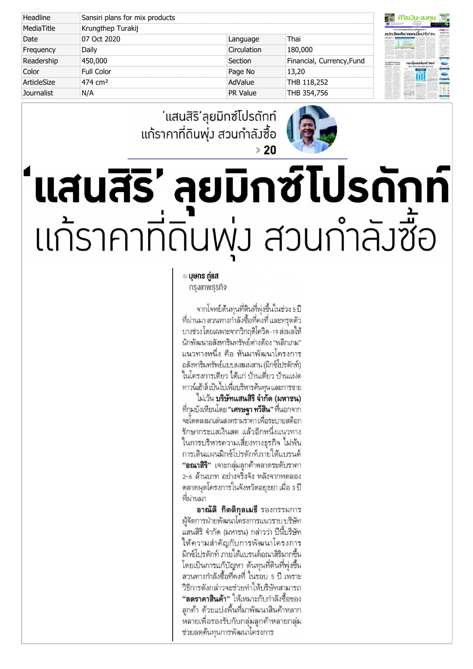| Headline    | Sansiri plans for mix products |                 |                           |
|-------------|--------------------------------|-----------------|---------------------------|
| MediaTitle  | Krungthep Turakij              |                 |                           |
| Date        | 07 Oct 2020                    | Language        | Thai                      |
| Frequency   | Daily                          | Circulation     | 180,000                   |
| Readership  | 450,000                        | Section         | Financial, Currency, Fund |
| Color       | Full Color                     | Page No         | 13,20                     |
| ArticleSize | 474 cm <sup>2</sup>            | AdValue         | THB 118,252               |
| Journalist  | N/A                            | <b>PR Value</b> | THB 354,756               |

## ' ' 4 แก้ราคาที่ดินพุ่ง สวนกำลังซื้อ  $>20$



## แสนสิริ' ลยมิกซ์โปรดักท์ แก้ราคาที่ดินพุ่ม สวนกำลัมซื้อ

## $\bullet$  บุษกร กู่แส

## ทรงเทพธรทิจ

จากโจทย์ต้นทนที่ดินที่พ่งขึ้นในช่วง 5 ปี ที่ผ่านมา สวนทางกำลังซื้อที่คงที่ และทรดตัว บางช่วง โดยเฉพาะจากวิกฤติโควิด-19 ส่งผลให้ ้นักพัฒนาอสังหาริมทรัพย์ต่างต้อง "พลิกเกม" แนวทางหนึ่ง คือ หันมาพัฒนาโครงการ อสังหาริมทรัพย์แบบผสมผสาน (มิกซ์โปรดักท์) ในโครงการเดียว ได้แก่ บ้านเดี่ยว บ้านแฝด ทาวน์เฮ้าส์ เป็นไปเพื่อบริหารต้นทุน และการขาย

ไม่เว้น บริษัทแสนสิริ จำกัด (มหาชน) ู้ที่กุมบังเหียนโดย "**เศรษฐา ทวีสิน**" ที่นอกจาก จะโดดลงมาเล่นสงครามราคา เพื่อระบายสต็อก รักษากระแสเงินสด แล้วอีกหนึ่งแนวทาง ในการบริหารความเสี่ยงทางธุรกิจ ไม่พ้น การเดินแผนมิกซ์โปรดักท์ภายใต้แบรนด์ "อณาสิริ" เจาะกลุ่มลูกค้าตลาดระดับราคา 2-6 ล้านบาท อย่างจริงจัง หลังจากทดลอง ิตลาดผุดโครงการในจังหวัดอยุธยา เมื่อ 3 ปี ที่ผ่านมา

อาณัติ กิตติกุลเมธี รองกรรมการ ผู้จัดการฝ่ายพัฒนาโครงการแนวราบ บริษัท แสนสิริ จำกัด (มหาชน) กล่าวว่า ปีนี้บริษัท ให้ความสำคัญกับการพัฒนาโครงการ มิกซ์โปรดักท์ ภายใต้แบรนด์อณาสิริมากขึ้น โดยเป็นการแก้ปัญหา ต้นทุนที่ดินที่พุ่งขึ้น สวนทางกำลังซื้อที่คงที่ ในรอบ 5 ปี เพราะ วิธีการดังกล่าวจะช่วยทำให้บริษัทสามารถ **"ลดราคาสินค้า**" ให้เหมาะกับกำลังซื้อของ ลูกค้า ด้วยแบ่งพื้นที่มาพัฒนาสินค้าหลาก หลายเพื่อรองรับกับกลุ่มลูกค้าหลายกลุ่ม ช่วยลดต้นทุนการพัฒนาโครงการ